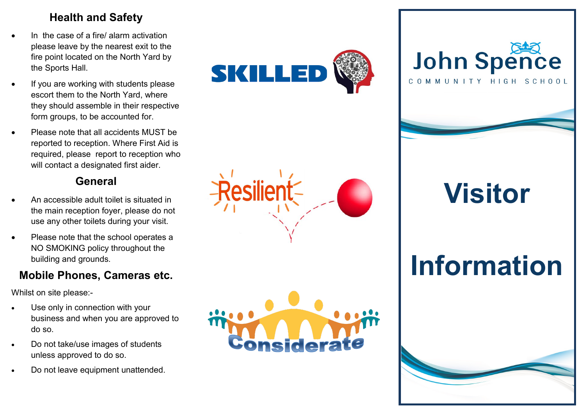### **Health and Safety**

- In the case of a fire/ alarm activation please leave by the nearest exit to the fire point located on the North Yard by the Sports Hall.
- If you are working with students please escort them to the North Yard, where they should assemble in their respective form groups, to be accounted for.
- Please note that all accidents MUST be reported to reception. Where First Aid is required, please report to reception who will contact a designated first aider.

### **General**

- An accessible adult toilet is situated in the main reception foyer, please do not use any other toilets during your visit.
- Please note that the school operates a NO SMOKING policy throughout the building and grounds.

#### **Mobile Phones, Cameras etc.**

Whilst on site please: -

- Use only in connection with your business and when you are approved to do so.
- Do not take/use images of students unless approved to do so.
- Do not leave equipment unattended.









**Visitor**

# **Information**